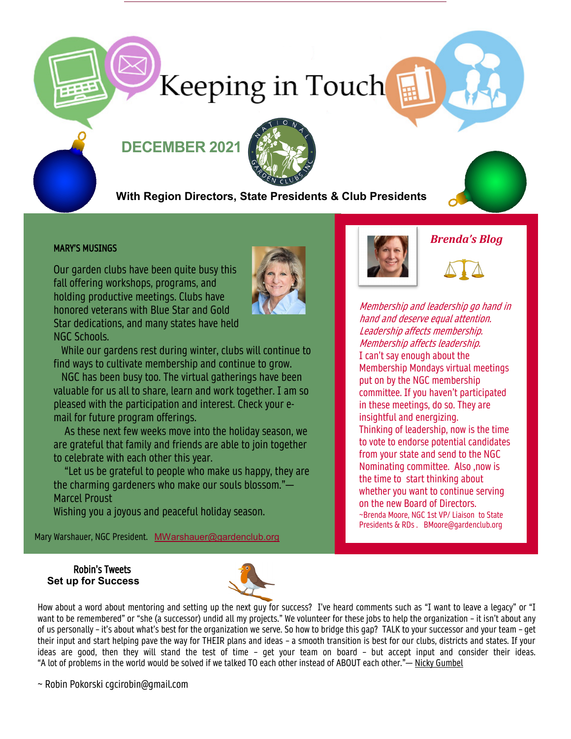# Keeping in Touch

# **DECEMBER 2021**



## **With Region Directors, State Presidents & Club Presidents**



#### MARY'S MUSINGS

Our garden clubs have been quite busy this fall offering workshops, programs, and holding productive meetings. Clubs have honored veterans with Blue Star and Gold Star dedications, and many states have held NGC Schools.



 While our gardens rest during winter, clubs will continue to find ways to cultivate membership and continue to grow.

 NGC has been busy too. The virtual gatherings have been valuable for us all to share, learn and work together. I am so pleased with the participation and interest. Check your email for future program offerings.

 As these next few weeks move into the holiday season, we are grateful that family and friends are able to join together to celebrate with each other this year.

 "Let us be grateful to people who make us happy, they are the charming gardeners who make our souls blossom."— Marcel Proust

Wishing you a joyous and peaceful holiday season.

Mary Warshauer, NGC President. MWarshauer@gardenclub.org



*Brenda's Blog*

Membership and leadership go hand in hand and deserve equal attention. Leadership affects membership. Membership affects leadership. I can't say enough about the Membership Mondays virtual meetings put on by the NGC membership committee. If you haven't participated in these meetings, do so. They are insightful and energizing. Thinking of leadership, now is the time to vote to endorse potential candidates from your state and send to the NGC Nominating committee. Also ,now is the time to start thinking about whether you want to continue serving on the new Board of Directors. ~Brenda Moore, NGC 1st VP/ Liaison to State Presidents & RDs . BMoore@gardenclub.org

#### Robin's Tweets **Set up for Success**



How about a word about mentoring and setting up the next guy for success? I've heard comments such as "I want to leave a legacy" or "I want to be remembered" or "she (a successor) undid all my projects." We volunteer for these jobs to help the organization – it isn't about any of us personally – it's about what's best for the organization we serve. So how to bridge this gap? TALK to your successor and your team – get their input and start helping pave the way for THEIR plans and ideas – a smooth transition is best for our clubs, districts and states. If your ideas are good, then they will stand the test of time – get your team on board – but accept input and consider their ideas. "A lot of problems in the world would be solved if we talked TO each other instead of ABOUT each other."— [Nicky Gumbel](https://protect-us.mimecast.com/s/crKuCVOlz0t2M4UGRuUc?domain=quotefancy.com)

~ Robin Pokorski cgcirobin@gmail.com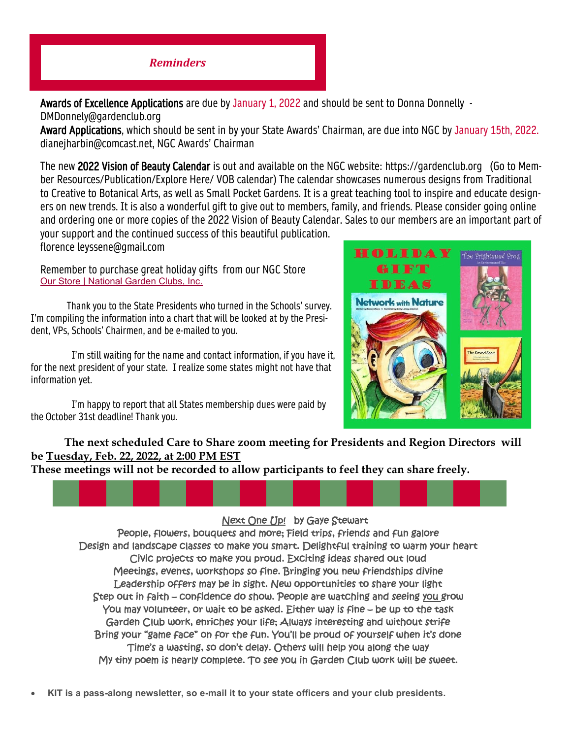## *Reminders*

Awards of Excellence Applications are due by January 1, 2022 and should be sent to Donna Donnelly -DMDonnely@gardenclub.org

Award Applications, which should be sent in by your State Awards' Chairman, are due into NGC by January 15th, 2022. dianejharbin@comcast.net, NGC Awards' Chairman

The new 2022 Vision of Beauty Calendar is out and available on the NGC website: https://gardenclub.org (Go to Member Resources/Publication/Explore Here/ VOB calendar) The calendar showcases numerous designs from Traditional to Creative to Botanical Arts, as well as Small Pocket Gardens. It is a great teaching tool to inspire and educate designers on new trends. It is also a wonderful gift to give out to members, family, and friends. Please consider going online and ordering one or more copies of the 2022 Vision of Beauty Calendar. Sales to our members are an important part of your support and the continued success of this beautiful publication.

florence leyssene@gmail.com

Remember to purchase great holiday gifts from our NGC Store [Our Store | National Garden Clubs, Inc.](https://gardenclub.org/our-store?f%5B0%5D=category%3A85)

Thank you to the State Presidents who turned in the Schools' survey. I'm compiling the information into a chart that will be looked at by the President, VPs, Schools' Chairmen, and be e-mailed to you.

 I'm still waiting for the name and contact information, if you have it, for the next president of your state. I realize some states might not have that information yet.

 I'm happy to report that all States membership dues were paid by the October 31st deadline! Thank you.



#### **The next scheduled Care to Share zoom meeting for Presidents and Region Directors will be Tuesday, Feb. 22, 2022, at 2:00 PM EST**

**These meetings will not be recorded to allow participants to feel they can share freely.**



#### Next One Up! by Gaye Stewart

People, flowers, bouquets and more; Field trips, friends and fun galore Design and landscape classes to make you smart. Delightful training to warm your heart Civic projects to make you proud. Exciting ideas shared out loud Meetings, events, workshops so fine. Bringing you new friendships divine Leadership offers may be in sight. New opportunities to share your light Step out in faith – confidence do show. People are watching and seeing you grow You may volunteer, or wait to be asked. Either way is fine – be up to the task Garden Club work, enriches your life; Always interesting and without strife Bring your "game face" on for the fun. You'll be proud of yourself when it's done Time's a wasting, so don't delay. Others will help you along the way My tiny poem is nearly complete. To see you in Garden Club work will be sweet.